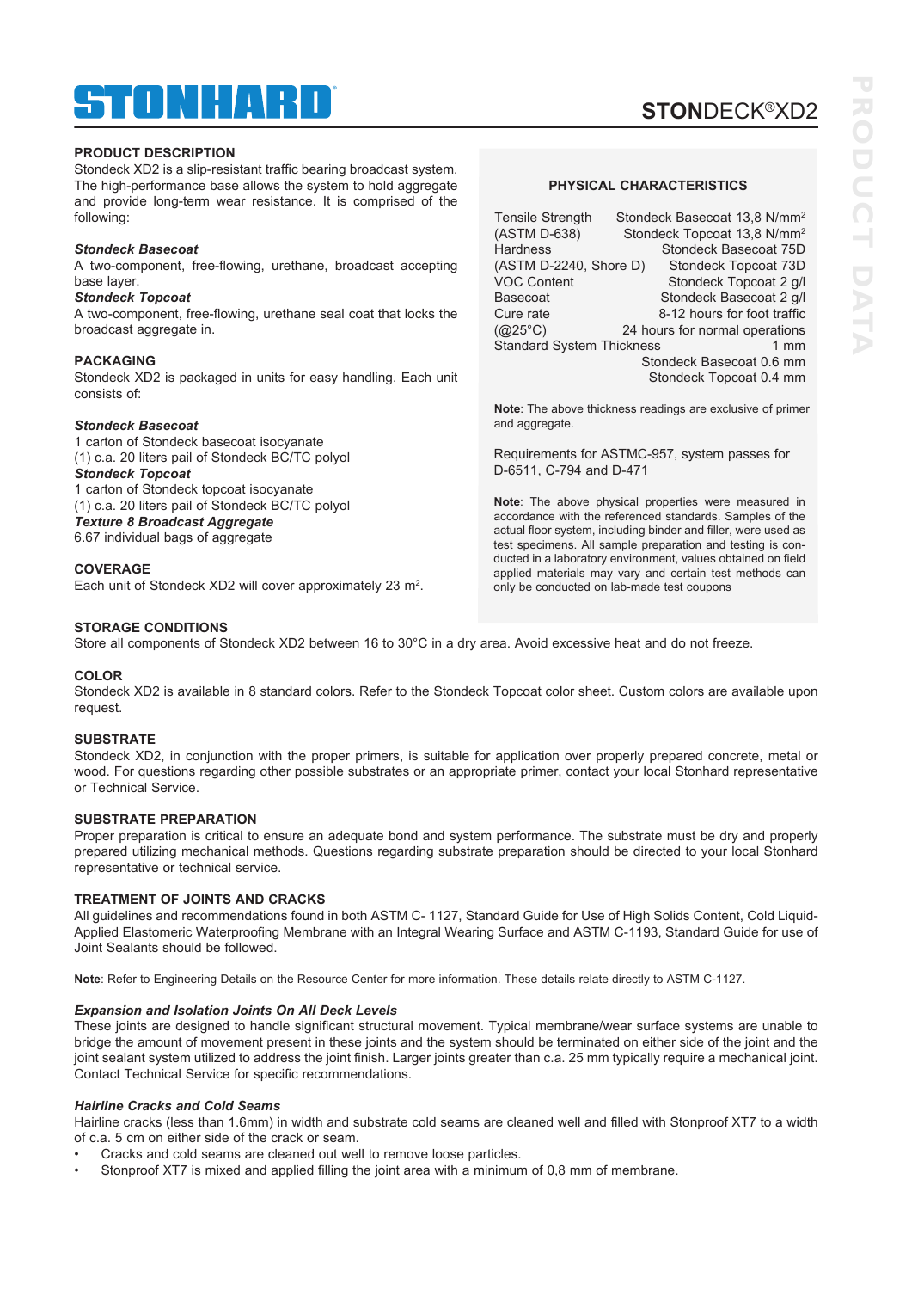# ® TOMHARD

# **STON**DECK®XD2

# **PRODUCT DESCRIPTION**

Stondeck XD2 is a slip-resistant traffic bearing broadcast system. The high-performance base allows the system to hold aggregate and provide long-term wear resistance. It is comprised of the following:

#### *Stondeck Basecoat*

A two-component, free-flowing, urethane, broadcast accepting base layer.

### *Stondeck Topcoat*

A two-component, free-flowing, urethane seal coat that locks the broadcast aggregate in.

#### **PACKAGING**

Stondeck XD2 is packaged in units for easy handling. Each unit consists of:

# *Stondeck Basecoat*

1 carton of Stondeck basecoat isocyanate (1) c.a. 20 liters pail of Stondeck BC/TC polyol *Stondeck Topcoat*  1 carton of Stondeck topcoat isocyanate (1) c.a. 20 liters pail of Stondeck BC/TC polyol *Texture 8 Broadcast Aggregate*  6.67 individual bags of aggregate

### **COVERAGE**

Each unit of Stondeck XD2 will cover approximately 23 m<sup>2</sup>.

#### **STORAGE CONDITIONS**

Store all components of Stondeck XD2 between 16 to 30°C in a dry area. Avoid excessive heat and do not freeze.

#### **COLOR**

Stondeck XD2 is available in 8 standard colors. Refer to the Stondeck Topcoat color sheet. Custom colors are available upon request.

### **SUBSTRATE**

Stondeck XD2, in conjunction with the proper primers, is suitable for application over properly prepared concrete, metal or wood. For questions regarding other possible substrates or an appropriate primer, contact your local Stonhard representative or Technical Service.

#### **SUBSTRATE PREPARATION**

Proper preparation is critical to ensure an adequate bond and system performance. The substrate must be dry and properly prepared utilizing mechanical methods. Questions regarding substrate preparation should be directed to your local Stonhard representative or technical service.

# **TREATMENT OF JOINTS AND CRACKS**

All guidelines and recommendations found in both ASTM C- 1127, Standard Guide for Use of High Solids Content, Cold Liquid-Applied Elastomeric Waterproofing Membrane with an Integral Wearing Surface and ASTM C-1193, Standard Guide for use of Joint Sealants should be followed.

**Note**: Refer to Engineering Details on the Resource Center for more information. These details relate directly to ASTM C-1127.

#### *Expansion and Isolation Joints On All Deck Levels*

These joints are designed to handle significant structural movement. Typical membrane/wear surface systems are unable to bridge the amount of movement present in these joints and the system should be terminated on either side of the joint and the joint sealant system utilized to address the joint finish. Larger joints greater than c.a. 25 mm typically require a mechanical joint. Contact Technical Service for specific recommendations.

### *Hairline Cracks and Cold Seams*

Hairline cracks (less than 1.6mm) in width and substrate cold seams are cleaned well and filled with Stonproof XT7 to a width of c.a. 5 cm on either side of the crack or seam.

- Cracks and cold seams are cleaned out well to remove loose particles.
- Stonproof XT7 is mixed and applied filling the joint area with a minimum of 0,8 mm of membrane.

#### **PHYSICAL CHARACTERISTICS**

Tensile Strength Stondeck Basecoat 13,8 N/mm2 (ASTM D-638) Stondeck Topcoat 13,8 N/mm2 Hardness Stondeck Basecoat 75D (ASTM D-2240, Shore D) Stondeck Topcoat 73D<br>VOC Content Stondeck Topcoat 2 q/l Stondeck Topcoat 2 g/l Basecoat Stondeck Basecoat 2 g/l Cure rate 8-12 hours for foot traffic (@25°C) 24 hours for normal operations Standard System Thickness 1 mm Stondeck Basecoat 0.6 mm Stondeck Topcoat 0.4 mm

**Note**: The above thickness readings are exclusive of primer and aggregate.

Requirements for ASTMC-957, system passes for D-6511, C-794 and D-471

**Note**: The above physical properties were measured in accordance with the referenced standards. Samples of the actual floor system, including binder and filler, were used as test specimens. All sample preparation and testing is conducted in a laboratory environment, values obtained on field applied materials may vary and certain test methods can only be conducted on lab-made test coupons